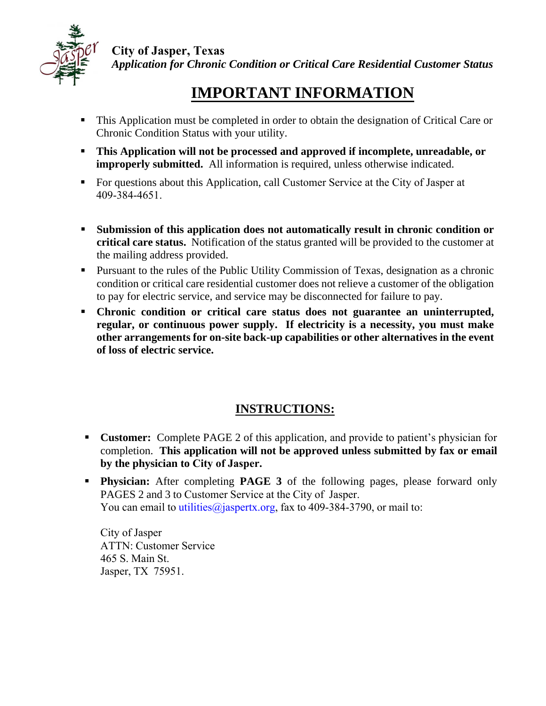

**City of Jasper, Texas** *Application for Chronic Condition or Critical Care Residential Customer Status* 

# **IMPORTANT INFORMATION**

- This Application must be completed in order to obtain the designation of Critical Care or Chronic Condition Status with your utility.
- **This Application will not be processed and approved if incomplete, unreadable, or improperly submitted.** All information is required, unless otherwise indicated.
- For questions about this Application, call Customer Service at the City of Jasper at 409-384-4651.
- **Submission of this application does not automatically result in chronic condition or critical care status.** Notification of the status granted will be provided to the customer at the mailing address provided.
- Pursuant to the rules of the Public Utility Commission of Texas, designation as a chronic condition or critical care residential customer does not relieve a customer of the obligation to pay for electric service, and service may be disconnected for failure to pay.
- **Chronic condition or critical care status does not guarantee an uninterrupted, regular, or continuous power supply. If electricity is a necessity, you must make other arrangements for on-site back-up capabilities or other alternatives in the event of loss of electric service.**

### **INSTRUCTIONS:**

- **Customer:** Complete PAGE 2 of this application, and provide to patient's physician for completion. **This application will not be approved unless submitted by fax or email by the physician to City of Jasper.**
- **Physician:** After completing **PAGE 3** of the following pages, please forward only PAGES 2 and 3 to Customer Service at the City of Jasper. You can email to utilities  $\omega$  jaspertx.org, fax to 409-384-3790, or mail to:

City of Jasper ATTN: Customer Service 465 S. Main St. Jasper, TX 75951.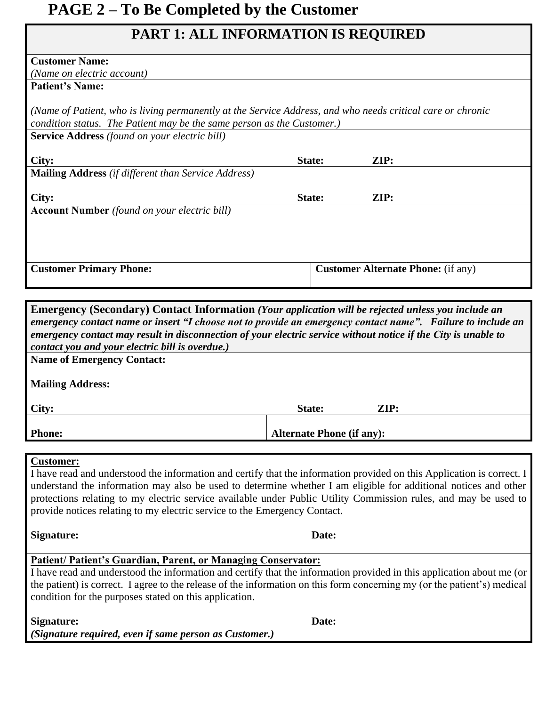### **PAGE 2 – To Be Completed by the Customer**

### **PART 1: ALL INFORMATION IS REQUIRED**

| <b>Customer Name:</b>                                                                                                                                                                                                                                                                                                                                                                                                       |                                           |  |  |  |
|-----------------------------------------------------------------------------------------------------------------------------------------------------------------------------------------------------------------------------------------------------------------------------------------------------------------------------------------------------------------------------------------------------------------------------|-------------------------------------------|--|--|--|
| (Name on electric account)                                                                                                                                                                                                                                                                                                                                                                                                  |                                           |  |  |  |
| <b>Patient's Name:</b>                                                                                                                                                                                                                                                                                                                                                                                                      |                                           |  |  |  |
| (Name of Patient, who is living permanently at the Service Address, and who needs critical care or chronic<br>condition status. The Patient may be the same person as the Customer.)<br><b>Service Address</b> (found on your electric bill)                                                                                                                                                                                |                                           |  |  |  |
| City:                                                                                                                                                                                                                                                                                                                                                                                                                       | $\mathbf{ZIP:}$<br>State:                 |  |  |  |
| <b>Mailing Address</b> (if different than Service Address)                                                                                                                                                                                                                                                                                                                                                                  |                                           |  |  |  |
| City:                                                                                                                                                                                                                                                                                                                                                                                                                       | ZIP:<br>State:                            |  |  |  |
| <b>Account Number</b> (found on your electric bill)                                                                                                                                                                                                                                                                                                                                                                         |                                           |  |  |  |
|                                                                                                                                                                                                                                                                                                                                                                                                                             |                                           |  |  |  |
| <b>Customer Primary Phone:</b>                                                                                                                                                                                                                                                                                                                                                                                              | <b>Customer Alternate Phone:</b> (if any) |  |  |  |
|                                                                                                                                                                                                                                                                                                                                                                                                                             |                                           |  |  |  |
| Emergency (Secondary) Contact Information (Your application will be rejected unless you include an<br>emergency contact name or insert "I choose not to provide an emergency contact name". Failure to include an<br>emergency contact may result in disconnection of your electric service without notice if the City is unable to<br>contact you and your electric bill is overdue.)<br><b>Name of Emergency Contact:</b> |                                           |  |  |  |
|                                                                                                                                                                                                                                                                                                                                                                                                                             |                                           |  |  |  |

| City:         | State:<br>ZIP                    |  |
|---------------|----------------------------------|--|
|               |                                  |  |
| <b>Phone:</b> | <b>Alternate Phone (if any):</b> |  |

#### **Customer:**

**Mailing Address:**

I have read and understood the information and certify that the information provided on this Application is correct. I understand the information may also be used to determine whether I am eligible for additional notices and other protections relating to my electric service available under Public Utility Commission rules, and may be used to provide notices relating to my electric service to the Emergency Contact.

**Signature: Date:**

### **Patient/ Patient's Guardian, Parent, or Managing Conservator:**

I have read and understood the information and certify that the information provided in this application about me (or the patient) is correct. I agree to the release of the information on this form concerning my (or the patient's) medical condition for the purposes stated on this application.

| Signature:                                             | Date: |
|--------------------------------------------------------|-------|
| (Signature required, even if same person as Customer.) |       |